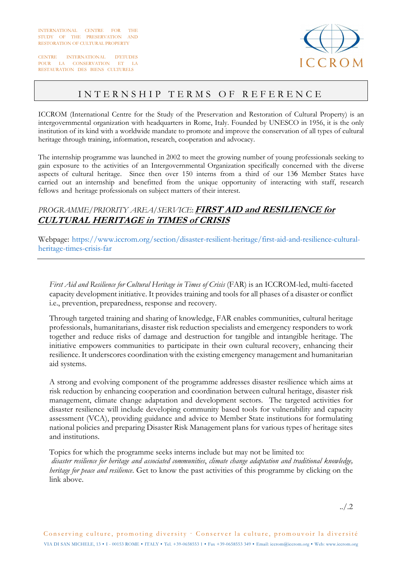INTERNATIONAL CENTRE FOR THE STUDY OF THE PRESERVATION AND RESTORATION OF CULTURAL PROPERTY

CENTRE INTERNATIONAL D'ETUDES POUR LA CONSERVATION ET LA RESTAURATION DES BIENS CULTURELS



## INTERNSHIP TERMS OF REFERENCE

ICCROM (International Centre for the Study of the Preservation and Restoration of Cultural Property) is an intergovernmental organization with headquarters in Rome, Italy. Founded by UNESCO in 1956, it is the only institution of its kind with a worldwide mandate to promote and improve the conservation of all types of cultural heritage through training, information, research, cooperation and advocacy.

The internship programme was launched in 2002 to meet the growing number of young professionals seeking to gain exposure to the activities of an Intergovernmental Organization specifically concerned with the diverse aspects of cultural heritage. Since then over 150 interns from a third of our 136 Member States have carried out an internship and benefitted from the unique opportunity of interacting with staff, research fellows and heritage professionals on subject matters of their interest.

## *PROGRAMME/PRIORITY AREA/SERVICE*: **FIRST AID and RESILIENCE for CULTURAL HERITAGE in TIMES of CRISIS**

Webpage: https://www.iccrom.org/section/disaster-resilient-heritage/first-aid-and-resilience-culturalheritage-times-crisis-far

*First Aid and Resilience for Cultural Heritage in Times of Crisis* (FAR) is an ICCROM-led, multi-faceted capacity development initiative. It provides training and tools for all phases of a disaster or conflict i.e., prevention, preparedness, response and recovery.

Through targeted training and sharing of knowledge, FAR enables communities, cultural heritage professionals, humanitarians, disaster risk reduction specialists and emergency responders to work together and reduce risks of damage and destruction for tangible and intangible heritage. The initiative empowers communities to participate in their own cultural recovery, enhancing their resilience. It underscores coordination with the existing emergency management and humanitarian aid systems.

A strong and evolving component of the programme addresses disaster resilience which aims at risk reduction by enhancing cooperation and coordination between cultural heritage, disaster risk management, climate change adaptation and development sectors. The targeted activities for disaster resilience will include developing community based tools for vulnerability and capacity assessment (VCA), providing guidance and advice to Member State institutions for formulating national policies and preparing Disaster Risk Management plans for various types of heritage sites and institutions.

Topics for which the programme seeks interns include but may not be limited to:  *disaster resilience for heritage and associated communities*, *climate change adaptation and traditional knowledge, heritage for peace and resilience*. Get to know the past activities of this programme by clicking on the link above.